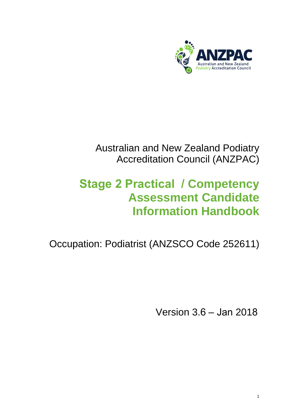

Australian and New Zealand Podiatry Accreditation Council (ANZPAC)

# **Stage 2 Practical / Competency Assessment Candidate Information Handbook**

Occupation: Podiatrist (ANZSCO Code 252611)

Version 3.6 – Jan 2018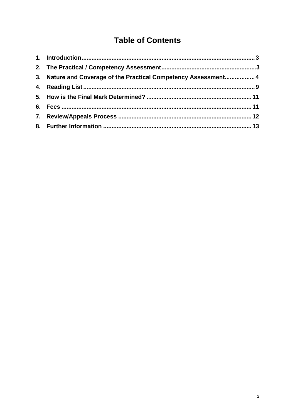## **Table of Contents**

| 3. Nature and Coverage of the Practical Competency Assessment 4 |  |
|-----------------------------------------------------------------|--|
|                                                                 |  |
|                                                                 |  |
|                                                                 |  |
|                                                                 |  |
|                                                                 |  |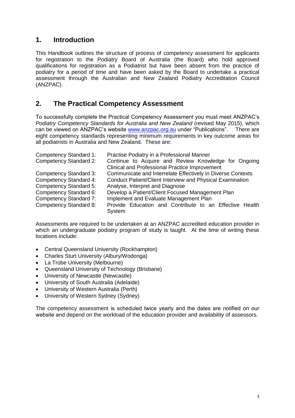## **1. Introduction**

This Handbook outlines the structure of process of competency assessment for applicants for registration to the Podiatry Board of Australia (the Board) who hold approved qualifications for registration as a Podiatrist but have been absent from the practice of podiatry for a period of time and have been asked by the Board to undertake a practical assessment through the Australian and New Zealand Podiatry Accreditation Council (ANZPAC).

## **2. The Practical Competency Assessment**

To successfully complete the Practical Competency Assessment you must meet ANZPAC's *Podiatry Competency Standards for Australia and New Zealand* (revised May 2015), which can be viewed on ANZPAC's [website www.anzpac.o](http://www.anzpac.org.au/)rg.au under "Publications". There are eight competency standards representing minimum requirements in key outcome areas for all podiatrists in Australia and New Zealand. These are:

| Competency Standard 1:        | Practise Podiatry in a Professional Manner                       |
|-------------------------------|------------------------------------------------------------------|
| <b>Competency Standard 2:</b> | Continue to Acquire and Review Knowledge for Ongoing             |
|                               | <b>Clinical and Professional Practice Improvement</b>            |
| <b>Competency Standard 3:</b> | Communicate and Interrelate Effectively in Diverse Contexts      |
| <b>Competency Standard 4:</b> | <b>Conduct Patient/Client Interview and Physical Examination</b> |
| Competency Standard 5:        | Analyse, Interpret and Diagnose                                  |
| Competency Standard 6:        | Develop a Patient/Client Focused Management Plan                 |
| <b>Competency Standard 7:</b> | Implement and Evaluate Management Plan                           |
| <b>Competency Standard 8:</b> | Provide Education and Contribute to an Effective Health          |
|                               | System                                                           |

Assessments are required to be undertaken at an ANZPAC accredited education provider in which an undergraduate podiatry program of study is taught. At the time of writing these locations include:

- Central Queensland University (Rockhampton)
- Charles Sturt University (Albury/Wodonga)
- La Trobe University (Melbourne)
- Queensland University of Technology (Brisbane)
- University of Newcastle (Newcastle)
- University of South Australia (Adelaide)
- University of Western Australia (Perth)
- University of Western Sydney (Sydney)

The competency assessment is scheduled twice yearly and the dates are notified on our website and depend on the workload of the education provider and availability of assessors.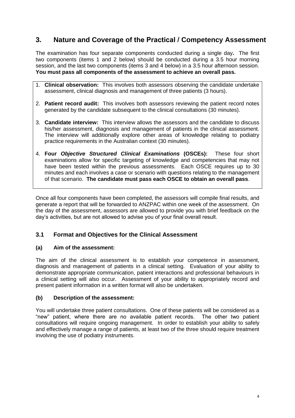## **3. Nature and Coverage of the Practical / Competency Assessment**

The examination has four separate components conducted during a single day**.** The first two components (items 1 and 2 below) should be conducted during a 3.5 hour morning session, and the last two components (items 3 and 4 below) in a 3.5 hour afternoon session. **You must pass all components of the assessment to achieve an overall pass.**

- 1. **Clinical observation:** This involves both assessors observing the candidate undertake assessment, clinical diagnosis and management of three patients (3 hours).
- 2. **Patient record audit:** This involves both assessors reviewing the patient record notes generated by the candidate subsequent to the clinical consultations (30 minutes).
- 3. **Candidate interview:** This interview allows the assessors and the candidate to discuss his/her assessment, diagnosis and management of patients in the clinical assessment. The interview will additionally explore other areas of knowledge relating to podiatry practice requirements in the Australian context (30 minutes).
- 4. **Four** *Objective Structured Clinical Examinations* **(OSCEs):** These four short examinations allow for specific targeting of knowledge and competencies that may not have been tested within the previous assessments. Each OSCE requires up to 30 minutes and each involves a case or scenario with questions relating to the management of that scenario. **The candidate must pass each OSCE to obtain an overall pass**.

Once all four components have been completed, the assessors will compile final results, and generate a report that will be forwarded to ANZPAC within one week of the assessment. On the day of the assessment, assessors are allowed to provide you with brief feedback on the day's activities, but are not allowed to advise you of your final overall result.

#### **3.1 Format and Objectives for the Clinical Assessment**

#### **(a) Aim of the assessment:**

The aim of the clinical assessment is to establish your competence in assessment, diagnosis and management of patients in a clinical setting. Evaluation of your ability to demonstrate appropriate communication, patient interactions and professional behaviours in a clinical setting will also occur. Assessment of your ability to appropriately record and present patient information in a written format will also be undertaken.

#### **(b) Description of the assessment:**

You will undertake three patient consultations. One of these patients will be considered as a "new" patient, where there are no available patient records. The other two patient consultations will require ongoing management. In order to establish your ability to safely and effectively manage a range of patients, at least two of the three should require treatment involving the use of podiatry instruments.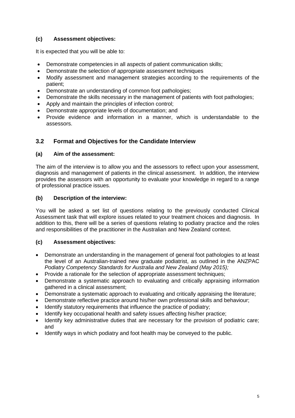#### **(c) Assessment objectives:**

It is expected that you will be able to:

- Demonstrate competencies in all aspects of patient communication skills;
- Demonstrate the selection of appropriate assessment techniques
- Modify assessment and management strategies according to the requirements of the patient;
- Demonstrate an understanding of common foot pathologies;
- Demonstrate the skills necessary in the management of patients with foot pathologies;
- Apply and maintain the principles of infection control;
- Demonstrate appropriate levels of documentation; and
- Provide evidence and information in a manner, which is understandable to the assessors.

#### **3.2 Format and Objectives for the Candidate Interview**

#### **(a) Aim of the assessment:**

The aim of the interview is to allow you and the assessors to reflect upon your assessment, diagnosis and management of patients in the clinical assessment. In addition, the interview provides the assessors with an opportunity to evaluate your knowledge in regard to a range of professional practice issues.

#### **(b) Description of the interview:**

You will be asked a set list of questions relating to the previously conducted Clinical Assessment task that will explore issues related to your treatment choices and diagnosis. In addition to this, there will be a series of questions relating to podiatry practice and the roles and responsibilities of the practitioner in the Australian and New Zealand context.

#### **(c) Assessment objectives:**

- Demonstrate an understanding in the management of general foot pathologies to at least the level of an Australian-trained new graduate podiatrist, as outlined in the ANZPAC *Podiatry Competency Standards for Australia and New Zealand (May 2015);*
- Provide a rationale for the selection of appropriate assessment techniques;
- Demonstrate a systematic approach to evaluating and critically appraising information gathered in a clinical assessment;
- Demonstrate a systematic approach to evaluating and critically appraising the literature;
- Demonstrate reflective practice around his/her own professional skills and behaviour;
- Identify statutory requirements that influence the practice of podiatry;
- Identify key occupational health and safety issues affecting his/her practice;
- Identify key administrative duties that are necessary for the provision of podiatric care; and
- Identify ways in which podiatry and foot health may be conveyed to the public.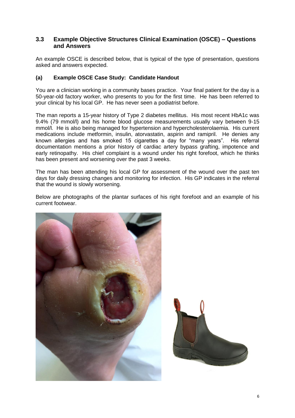#### **3.3 Example Objective Structures Clinical Examination (OSCE) – Questions and Answers**

An example OSCE is described below, that is typical of the type of presentation, questions asked and answers expected.

#### **(a) Example OSCE Case Study: Candidate Handout**

You are a clinician working in a community bases practice. Your final patient for the day is a 50-year-old factory worker, who presents to you for the first time. He has been referred to your clinical by his local GP. He has never seen a podiatrist before.

The man reports a 15-year history of Type 2 diabetes mellitus. His most recent HbA1c was 9.4% (79 mmol/l) and his home blood glucose measurements usually vary between 9-15 mmol/l. He is also being managed for hypertension and hypercholesterolaemia. His current medications include metformin, insulin, atorvastatin, aspirin and ramipril. He denies any known allergies and has smoked 15 cigarettes a day for "many years". His referral documentation mentions a prior history of cardiac artery bypass grafting, impotence and early retinopathy. His chief complaint is a wound under his right forefoot, which he thinks has been present and worsening over the past 3 weeks.

The man has been attending his local GP for assessment of the wound over the past ten days for daily dressing changes and monitoring for infection. His GP indicates in the referral that the wound is slowly worsening.

Below are photographs of the plantar surfaces of his right forefoot and an example of his current footwear.

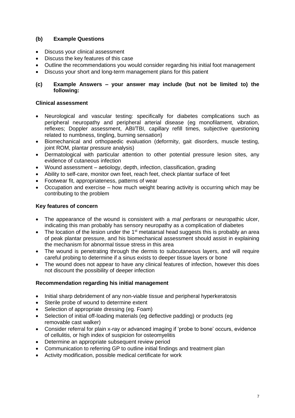#### **(b) Example Questions**

- Discuss your clinical assessment
- Discuss the key features of this case
- Outline the recommendations you would consider regarding his initial foot management
- Discuss your short and long-term management plans for this patient

#### **(c) Example Answers – your answer may include (but not be limited to) the following:**

#### **Clinical assessment**

- Neurological and vascular testing: specifically for diabetes complications such as peripheral neuropathy and peripheral arterial disease (eg monofilament, vibration, reflexes; Doppler assessment, ABI/TBI, capillary refill times, subjective questioning related to numbness, tingling, burning sensation)
- Biomechanical and orthopaedic evaluation (deformity, gait disorders, muscle testing, joint ROM, plantar pressure analysis)
- Dermatological with particular attention to other potential pressure lesion sites, any evidence of cutaneous infection
- Wound assessment aetiology, depth, infection, classification, grading
- Ability to self-care, monitor own feet, reach feet, check plantar surface of feet
- Footwear fit, appropriateness, patterns of wear
- Occupation and exercise how much weight bearing activity is occurring which may be contributing to the problem

#### **Key features of concern**

- The appearance of the wound is consistent with a *mal perforans* or neuropathic ulcer, indicating this man probably has sensory neuropathy as a complication of diabetes
- The location of the lesion under the 1<sup>st</sup> metatarsal head suggests this is probably an area of peak plantar pressure, and his biomechanical assessment should assist in explaining the mechanism for abnormal tissue stress in this area
- The wound is penetrating through the dermis to subcutaneous layers, and will require careful probing to determine if a sinus exists to deeper tissue layers or bone
- The wound does not appear to have any clinical features of infection, however this does not discount the possibility of deeper infection

#### **Recommendation regarding his initial management**

- Initial sharp debridement of any non-viable tissue and peripheral hyperkeratosis
- Sterile probe of wound to determine extent
- Selection of appropriate dressing (eg. Foam)
- Selection of initial off-loading materials (eg deflective padding) or products (eg removable cast walker)
- Consider referral for plain x-ray or advanced imaging if 'probe to bone' occurs, evidence of cellulitis, or high index of suspicion for osteomyelitis
- Determine an appropriate subsequent review period
- Communication to referring GP to outline initial findings and treatment plan
- Activity modification, possible medical certificate for work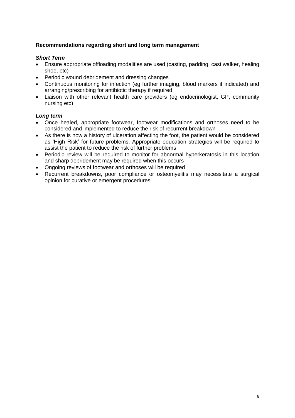#### **Recommendations regarding short and long term management**

#### *Short Term*

- Ensure appropriate offloading modalities are used (casting, padding, cast walker, healing shoe, etc)
- Periodic wound debridement and dressing changes
- Continuous monitoring for infection (eg further imaging, blood markers if indicated) and arranging/prescribing for antibiotic therapy if required
- Liaison with other relevant health care providers (eg endocrinologist, GP, community nursing etc)

#### *Long term*

- Once healed, appropriate footwear, footwear modifications and orthoses need to be considered and implemented to reduce the risk of recurrent breakdown
- As there is now a history of ulceration affecting the foot, the patient would be considered as 'High Risk' for future problems. Appropriate education strategies will be required to assist the patient to reduce the risk of further problems
- Periodic review will be required to monitor for abnormal hyperkeratosis in this location and sharp debridement may be required when this occurs
- Ongoing reviews of footwear and orthoses will be required
- Recurrent breakdowns, poor compliance or osteomyelitis may necessitate a surgical opinion for curative or emergent procedures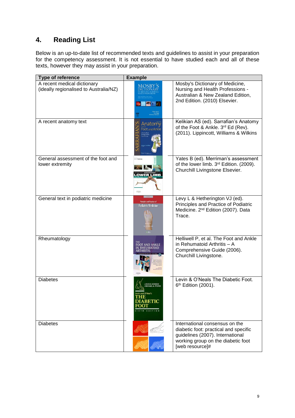## **4. Reading List**

Below is an up-to-date list of recommended texts and guidelines to assist in your preparation for the competency assessment. It is not essential to have studied each and all of these texts, however they may assist in your preparation.

| Type of reference                                                     | <b>Example</b>                                          |                                                                                                                                                                      |
|-----------------------------------------------------------------------|---------------------------------------------------------|----------------------------------------------------------------------------------------------------------------------------------------------------------------------|
| A recent medical dictionary<br>(ideally regionalised to Australia/NZ) |                                                         | Mosby's Dictionary of Medicine,<br>Nursing and Health Professions -<br>Australian & New Zealand Edition,<br>2nd Edition. (2010) Elsevier.                            |
| A recent anatomy text                                                 | Anatomy<br>Foot and Ankle                               | Kelikian AS (ed). Sarrafian's Anatomy<br>of the Foot & Ankle. 3rd Ed (Rev).<br>(2011). Lippincott, Williams & Wilkins                                                |
| General assessment of the foot and<br>lower extremity                 | <b>VATES</b><br><b>OWER LIME</b>                        | Yates B (ed). Merriman's assessment<br>of the lower limb. 3rd Edition. (2009).<br>Churchill Livingstone Elsevier.                                                    |
| General text in podiatric medicine                                    | <b>Principles and Practice of</b><br>Podiatric Medicine | Levy L & Hetherington VJ (ed).<br>Principles and Practice of Podiatric<br>Medicine. 2 <sup>nd</sup> Edition (2007). Data<br>Trace.                                   |
| Rheumatology                                                          | <b>FOOT AND ANKLE</b><br><b>RHFUMATOID</b>              | Helliwell P, et al. The Foot and Ankle<br>in Rehumatoid Arthritis - A<br>Comprehensive Guide (2006).<br>Churchill Livingstone.                                       |
| <b>Diabetes</b>                                                       | evin and O'Neal's<br><b>DIABETIC</b>                    | Levin & O'Neals The Diabetic Foot.<br>6 <sup>th</sup> Edition (2001).                                                                                                |
| <b>Diabetes</b>                                                       |                                                         | International consensus on the<br>diabetic foot: practical and specific<br>guidelines (2007). International<br>working group on the diabetic foot<br>[web resource]# |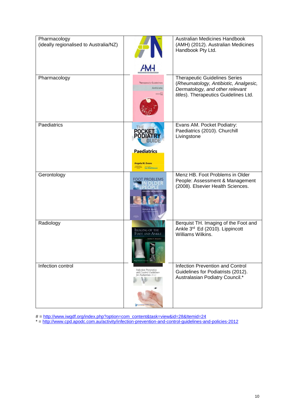| Pharmacology<br>(ideally regionalised to Australia/NZ) |                                                                                                               | Australian Medicines Handbook<br>(AMH) (2012). Australian Medicines<br>Handbook Pty Ltd.                                                                  |
|--------------------------------------------------------|---------------------------------------------------------------------------------------------------------------|-----------------------------------------------------------------------------------------------------------------------------------------------------------|
|                                                        | <b>AMH</b>                                                                                                    |                                                                                                                                                           |
| Pharmacology                                           | <b>Therapeutic Guidelines</b><br>Antibiotic<br><b>VERSION 14</b>                                              | <b>Therapeutic Guidelines Series</b><br>(Rheumatology, Antibiotic, Analgesic,<br>Dermatology, and other relevant<br>titles). Therapeutics Guidelines Ltd. |
| Paediatrics                                            | <b>POCKE</b>                                                                                                  | Evans AM. Pocket Podiatry:<br>Paediatrics (2010). Churchill<br>Livingstone                                                                                |
|                                                        | <b>Paediatrics</b><br><b>Angela M. Evans</b><br><b>UTOKOYON</b><br><b>Iam Mathieson</b>                       |                                                                                                                                                           |
| Gerontology                                            | FOOT PROBLEMS<br>lylton 8. M                                                                                  | Menz HB. Foot Problems in Older<br>People: Assessment & Management<br>(2008). Elsevier Health Sciences.                                                   |
| Radiology                                              | <b>IMAGING OF THE</b><br>FOOT AND ANKLE<br><b>IOMAS H. RERCHIST</b>                                           | Berquist TH. Imaging of the Foot and<br>Ankle 3rd Ed (2010). Lippincott<br>Williams Wilkins.                                                              |
| Infection control                                      | <b>Infection Prevention</b><br>and Control Guidelines<br>for Podiatrists 2012<br>Australation Podatry Council | Infection Prevention and Control<br>Guidelines for Podiatrists (2012).<br>Australasian Podiatry Council.*                                                 |

# = [http://www.iwgdf.org/index.php?option=com\\_content&task=view&id=28&Itemid=24](http://www.iwgdf.org/index.php?option=com_content&task=view&id=28&Itemid=24)

\* =<http://www.cpd.apodc.com.au/activity/infection-prevention-and-control-guidelines-and-policies-2012>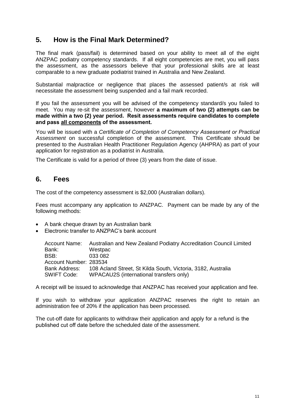## **5. How is the Final Mark Determined?**

The final mark (pass/fail) is determined based on your ability to meet all of the eight ANZPAC podiatry competency standards. If all eight competencies are met, you will pass the assessment, as the assessors believe that your professional skills are at least comparable to a new graduate podiatrist trained in Australia and New Zealand.

Substantial malpractice or negligence that places the assessed patient/s at risk will necessitate the assessment being suspended and a fail mark recorded.

If you fail the assessment you will be advised of the competency standard/s you failed to meet. You may re-sit the assessment, however **a maximum of two (2) attempts can be made within a two (2) year period. Resit assessments require candidates to complete and pass all components of the assessment.** 

You will be issued with a *Certificate of Completion of Competency Assessment or Practical Assessment* on successful completion of the assessment. This Certificate should be presented to the Australian Health Practitioner Regulation Agency (AHPRA) as part of your application for registration as a podiatrist in Australia.

The Certificate is valid for a period of three (3) years from the date of issue.

### **6. Fees**

The cost of the competency assessment is \$2,000 (Australian dollars).

Fees must accompany any application to ANZPAC. Payment can be made by any of the following methods:

- A bank cheque drawn by an Australian bank
- Electronic transfer to ANZPAC's bank account

| Account Name:          | Australian and New Zealand Podiatry Accreditation Council Limited          |
|------------------------|----------------------------------------------------------------------------|
| Bank:                  | Westpac                                                                    |
| BSB:                   | 033 082                                                                    |
| Account Number: 283534 |                                                                            |
|                        | Bank Address: 108 Acland Street, St Kilda South, Victoria, 3182, Australia |
| <b>SWIFT Code:</b>     | WPACAU2S (international transfers only)                                    |

A receipt will be issued to acknowledge that ANZPAC has received your application and fee.

If you wish to withdraw your application ANZPAC reserves the right to retain an administration fee of 20% if the application has been processed.

The cut-off date for applicants to withdraw their application and apply for a refund is the published cut off date before the scheduled date of the assessment.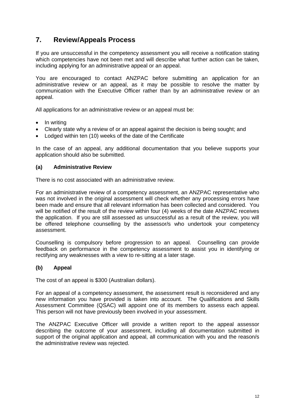## **7. Review/Appeals Process**

If you are unsuccessful in the competency assessment you will receive a notification stating which competencies have not been met and will describe what further action can be taken, including applying for an administrative appeal or an appeal.

You are encouraged to contact ANZPAC before submitting an application for an administrative review or an appeal, as it may be possible to resolve the matter by communication with the Executive Officer rather than by an administrative review or an appeal.

All applications for an administrative review or an appeal must be:

- In writing
- Clearly state why a review of or an appeal against the decision is being sought; and
- Lodged within ten (10) weeks of the date of the Certificate

In the case of an appeal, any additional documentation that you believe supports your application should also be submitted.

#### **(a) Administrative Review**

There is no cost associated with an administrative review.

For an administrative review of a competency assessment, an ANZPAC representative who was not involved in the original assessment will check whether any processing errors have been made and ensure that all relevant information has been collected and considered. You will be notified of the result of the review within four (4) weeks of the date ANZPAC receives the application. If you are still assessed as unsuccessful as a result of the review, you will be offered telephone counselling by the assessor/s who undertook your competency assessment.

Counselling is compulsory before progression to an appeal. Counselling can provide feedback on performance in the competency assessment to assist you in identifying or rectifying any weaknesses with a view to re-sitting at a later stage.

#### **(b) Appeal**

The cost of an appeal is \$300 (Australian dollars).

For an appeal of a competency assessment, the assessment result is reconsidered and any new information you have provided is taken into account. The Qualifications and Skills Assessment Committee (QSAC) will appoint one of its members to assess each appeal. This person will not have previously been involved in your assessment.

The ANZPAC Executive Officer will provide a written report to the appeal assessor describing the outcome of your assessment, including all documentation submitted in support of the original application and appeal, all communication with you and the reason/s the administrative review was rejected.